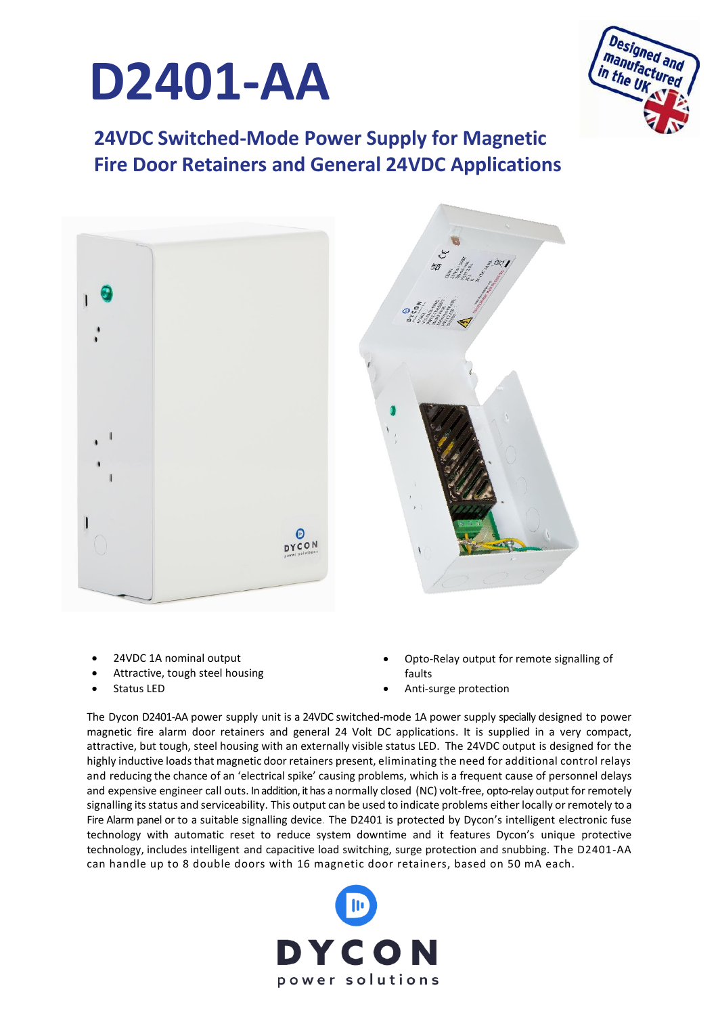



**24VDC Switched-Mode Power Supply for Magnetic Fire Door Retainers and General 24VDC Applications**



- 24VDC 1A nominal output
- Attractive, tough steel housing
- Status LED
- Opto-Relay output for remote signalling of faults
- Anti-surge protection

The Dycon D2401-AA power supply unit is a 24VDC switched-mode 1A power supply specially designed to power magnetic fire alarm door retainers and general 24 Volt DC applications. It is supplied in a very compact, attractive, but tough, steel housing with an externally visible status LED. The 24VDC output is designed for the highly inductive loads that magnetic door retainers present, eliminating the need for additional control relays and reducing the chance of an 'electrical spike' causing problems, which is a frequent cause of personnel delays and expensive engineer call outs. In addition, it has a normally closed (NC) volt-free, opto-relay output for remotely signalling itsstatus and serviceability. This output can be used to indicate problems either locally or remotely to a Fire Alarm panel or to a suitable signalling device. The D2401 is protected by Dycon's intelligent electronic fuse technology with automatic reset to reduce system downtime and it features Dycon's unique protective technology, includes intelligent and capacitive load switching, surge protection and snubbing. The D2401-AA can handle up to 8 double doors with 16 magnetic door retainers, based on 50 mA each.

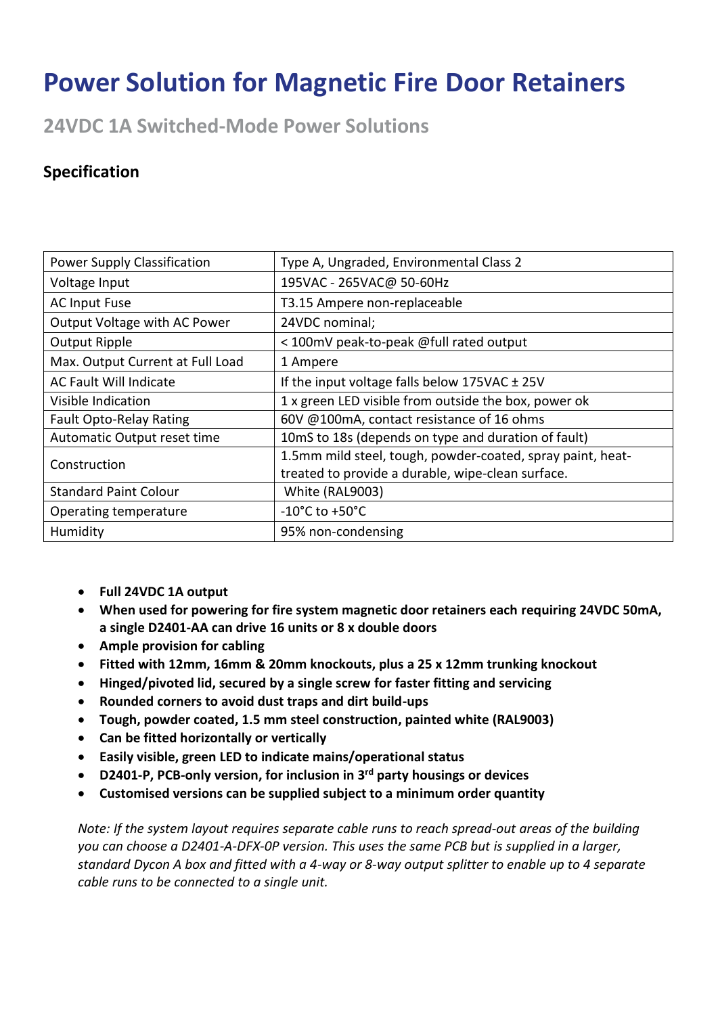## **Power Solution for Magnetic Fire Door Retainers**

**24VDC 1A Switched-Mode Power Solutions**

## **Specification**

| <b>Power Supply Classification</b> | Type A, Ungraded, Environmental Class 2                         |  |  |
|------------------------------------|-----------------------------------------------------------------|--|--|
| Voltage Input                      | 195VAC - 265VAC@ 50-60Hz                                        |  |  |
| <b>AC Input Fuse</b>               | T3.15 Ampere non-replaceable                                    |  |  |
| Output Voltage with AC Power       | 24VDC nominal;                                                  |  |  |
| <b>Output Ripple</b>               | < 100mV peak-to-peak @full rated output                         |  |  |
| Max. Output Current at Full Load   | 1 Ampere                                                        |  |  |
| <b>AC Fault Will Indicate</b>      | If the input voltage falls below $175\text{VAC} \pm 25\text{V}$ |  |  |
| Visible Indication                 | 1 x green LED visible from outside the box, power ok            |  |  |
| <b>Fault Opto-Relay Rating</b>     | 60V @100mA, contact resistance of 16 ohms                       |  |  |
| Automatic Output reset time        | 10mS to 18s (depends on type and duration of fault)             |  |  |
| Construction                       | 1.5mm mild steel, tough, powder-coated, spray paint, heat-      |  |  |
|                                    | treated to provide a durable, wipe-clean surface.               |  |  |
| <b>Standard Paint Colour</b>       | White (RAL9003)                                                 |  |  |
| Operating temperature              | $-10^{\circ}$ C to $+50^{\circ}$ C                              |  |  |
| Humidity                           | 95% non-condensing                                              |  |  |

- **Full 24VDC 1A output**
- **When used for powering for fire system magnetic door retainers each requiring 24VDC 50mA, a single D2401-AA can drive 16 units or 8 x double doors**
- **Ample provision for cabling**
- **Fitted with 12mm, 16mm & 20mm knockouts, plus a 25 x 12mm trunking knockout**
- **Hinged/pivoted lid, secured by a single screw for faster fitting and servicing**
- **Rounded corners to avoid dust traps and dirt build-ups**
- **Tough, powder coated, 1.5 mm steel construction, painted white (RAL9003)**
- **Can be fitted horizontally or vertically**
- **Easily visible, green LED to indicate mains/operational status**
- **D2401-P, PCB-only version, for inclusion in 3rd party housings or devices**
- **Customised versions can be supplied subject to a minimum order quantity**

*Note: If the system layout requires separate cable runs to reach spread-out areas of the building you can choose a D2401-A-DFX-0P version. This uses the same PCB but is supplied in a larger, standard Dycon A box and fitted with a 4-way or 8-way output splitter to enable up to 4 separate cable runs to be connected to a single unit.*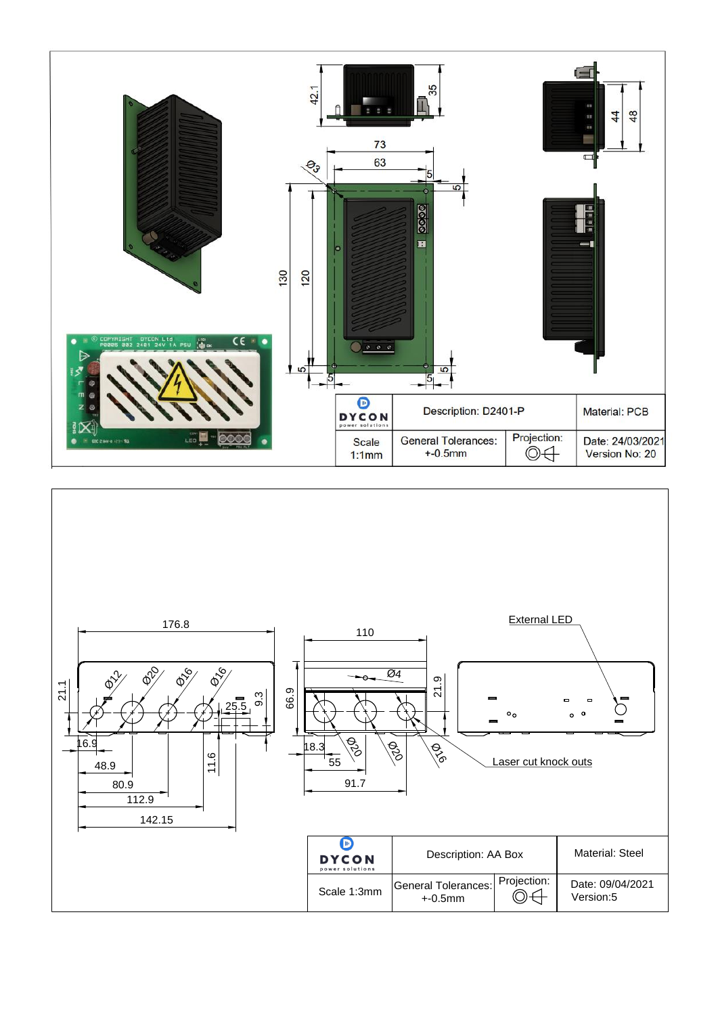